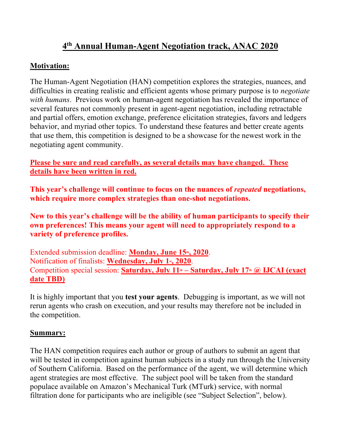# **4th Annual Human-Agent Negotiation track, ANAC 2020**

# **Motivation:**

The Human-Agent Negotiation (HAN) competition explores the strategies, nuances, and difficulties in creating realistic and efficient agents whose primary purpose is to *negotiate with humans*. Previous work on human-agent negotiation has revealed the importance of several features not commonly present in agent-agent negotiation, including retractable and partial offers, emotion exchange, preference elicitation strategies, favors and ledgers behavior, and myriad other topics. To understand these features and better create agents that use them, this competition is designed to be a showcase for the newest work in the negotiating agent community.

**Please be sure and read carefully, as several details may have changed. These details have been written in red.**

**This year's challenge will continue to focus on the nuances of** *repeated* **negotiations, which require more complex strategies than one-shot negotiations.**

**New to this year's challenge will be the ability of human participants to specify their own preferences! This means your agent will need to appropriately respond to a variety of preference profiles.**

Extended submission deadline: **Monday**, June 15<sup>th</sup>, 2020. Notification of finalists: **Wednesday, July 1st, 2020**. Competition special session: Saturday, July 11<sup>th</sup> – Saturday, July 17<sup>th</sup> **@ IJCAI (exact date TBD)**

It is highly important that you **test your agents**. Debugging is important, as we will not rerun agents who crash on execution, and your results may therefore not be included in the competition.

### **Summary:**

The HAN competition requires each author or group of authors to submit an agent that will be tested in competition against human subjects in a study run through the University of Southern California. Based on the performance of the agent, we will determine which agent strategies are most effective. The subject pool will be taken from the standard populace available on Amazon's Mechanical Turk (MTurk) service, with normal filtration done for participants who are ineligible (see "Subject Selection", below).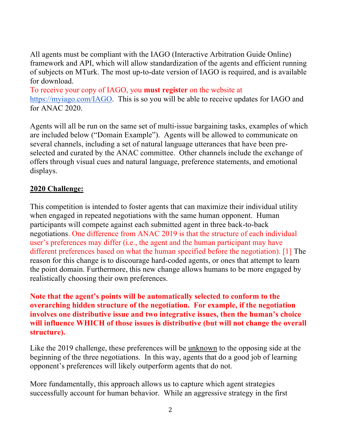All agents must be compliant with the IAGO (Interactive Arbitration Guide Online) framework and API, which will allow standardization of the agents and efficient running of subjects on MTurk. The most up-to-date version of IAGO is required, and is available for download.

To receive your copy of IAGO, you **must register** on the website at https://myiago.com/IAGO. This is so you will be able to receive updates for IAGO and for ANAC 2020.

Agents will all be run on the same set of multi-issue bargaining tasks, examples of which are included below ("Domain Example"). Agents will be allowed to communicate on several channels, including a set of natural language utterances that have been preselected and curated by the ANAC committee. Other channels include the exchange of offers through visual cues and natural language, preference statements, and emotional displays.

### **2020 Challenge:**

This competition is intended to foster agents that can maximize their individual utility when engaged in repeated negotiations with the same human opponent. Human participants will compete against each submitted agent in three back-to-back negotiations. One difference from ANAC 2019 is that the structure of each individual user's preferences may differ (i.e., the agent and the human participant may have different preferences based on what the human specified before the negotiation). [1] The reason for this change is to discourage hard-coded agents, or ones that attempt to learn the point domain. Furthermore, this new change allows humans to be more engaged by realistically choosing their own preferences.

**Note that the agent's points will be automatically selected to conform to the overarching hidden structure of the negotiation. For example, if the negotiation involves one distributive issue and two integrative issues, then the human's choice will influence WHICH of those issues is distributive (but will not change the overall structure).**

Like the 2019 challenge, these preferences will be <u>unknown</u> to the opposing side at the beginning of the three negotiations. In this way, agents that do a good job of learning opponent's preferences will likely outperform agents that do not.

More fundamentally, this approach allows us to capture which agent strategies successfully account for human behavior. While an aggressive strategy in the first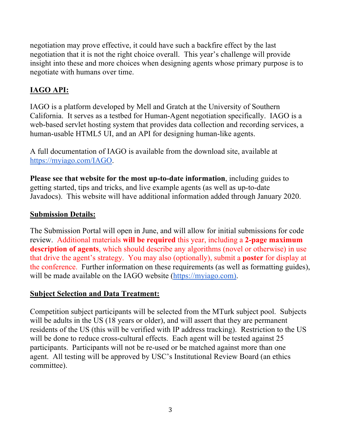negotiation may prove effective, it could have such a backfire effect by the last negotiation that it is not the right choice overall. This year's challenge will provide insight into these and more choices when designing agents whose primary purpose is to negotiate with humans over time.

# **IAGO API:**

IAGO is a platform developed by Mell and Gratch at the University of Southern California. It serves as a testbed for Human-Agent negotiation specifically. IAGO is a web-based servlet hosting system that provides data collection and recording services, a human-usable HTML5 UI, and an API for designing human-like agents.

A full documentation of IAGO is available from the download site, available at https://myiago.com/IAGO.

**Please see that website for the most up-to-date information**, including guides to getting started, tips and tricks, and live example agents (as well as up-to-date Javadocs). This website will have additional information added through January 2020.

### **Submission Details:**

The Submission Portal will open in June, and will allow for initial submissions for code review. Additional materials **will be required** this year, including a **2-page maximum description of agents**, which should describe any algorithms (novel or otherwise) in use that drive the agent's strategy. You may also (optionally), submit a **poster** for display at the conference. Further information on these requirements (as well as formatting guides), will be made available on the IAGO website (https://myiago.com).

### **Subject Selection and Data Treatment:**

Competition subject participants will be selected from the MTurk subject pool. Subjects will be adults in the US (18 years or older), and will assert that they are permanent residents of the US (this will be verified with IP address tracking). Restriction to the US will be done to reduce cross-cultural effects. Each agent will be tested against 25 participants. Participants will not be re-used or be matched against more than one agent. All testing will be approved by USC's Institutional Review Board (an ethics committee).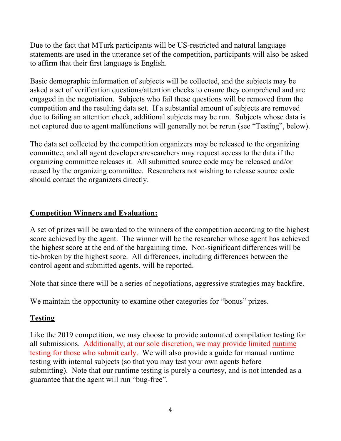Due to the fact that MTurk participants will be US-restricted and natural language statements are used in the utterance set of the competition, participants will also be asked to affirm that their first language is English.

Basic demographic information of subjects will be collected, and the subjects may be asked a set of verification questions/attention checks to ensure they comprehend and are engaged in the negotiation. Subjects who fail these questions will be removed from the competition and the resulting data set. If a substantial amount of subjects are removed due to failing an attention check, additional subjects may be run. Subjects whose data is not captured due to agent malfunctions will generally not be rerun (see "Testing", below).

The data set collected by the competition organizers may be released to the organizing committee, and all agent developers/researchers may request access to the data if the organizing committee releases it. All submitted source code may be released and/or reused by the organizing committee. Researchers not wishing to release source code should contact the organizers directly.

### **Competition Winners and Evaluation:**

A set of prizes will be awarded to the winners of the competition according to the highest score achieved by the agent. The winner will be the researcher whose agent has achieved the highest score at the end of the bargaining time. Non-significant differences will be tie-broken by the highest score. All differences, including differences between the control agent and submitted agents, will be reported.

Note that since there will be a series of negotiations, aggressive strategies may backfire.

We maintain the opportunity to examine other categories for "bonus" prizes.

### **Testing**

Like the 2019 competition, we may choose to provide automated compilation testing for all submissions. Additionally, at our sole discretion, we may provide limited runtime testing for those who submit early. We will also provide a guide for manual runtime testing with internal subjects (so that you may test your own agents before submitting). Note that our runtime testing is purely a courtesy, and is not intended as a guarantee that the agent will run "bug-free".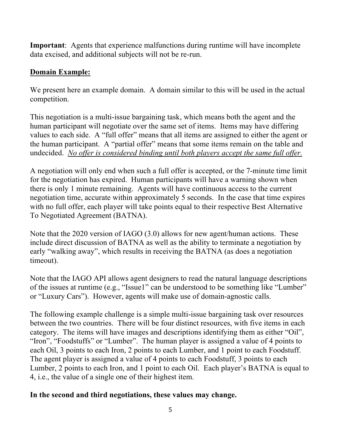**Important**: Agents that experience malfunctions during runtime will have incomplete data excised, and additional subjects will not be re-run.

### **Domain Example:**

We present here an example domain. A domain similar to this will be used in the actual competition.

This negotiation is a multi-issue bargaining task, which means both the agent and the human participant will negotiate over the same set of items. Items may have differing values to each side. A "full offer" means that all items are assigned to either the agent or the human participant. A "partial offer" means that some items remain on the table and undecided. *No offer is considered binding until both players accept the same full offer.*

A negotiation will only end when such a full offer is accepted, or the 7-minute time limit for the negotiation has expired. Human participants will have a warning shown when there is only 1 minute remaining. Agents will have continuous access to the current negotiation time, accurate within approximately 5 seconds. In the case that time expires with no full offer, each player will take points equal to their respective Best Alternative To Negotiated Agreement (BATNA).

Note that the 2020 version of IAGO (3.0) allows for new agent/human actions. These include direct discussion of BATNA as well as the ability to terminate a negotiation by early "walking away", which results in receiving the BATNA (as does a negotiation timeout).

Note that the IAGO API allows agent designers to read the natural language descriptions of the issues at runtime (e.g., "Issue1" can be understood to be something like "Lumber" or "Luxury Cars"). However, agents will make use of domain-agnostic calls.

The following example challenge is a simple multi-issue bargaining task over resources between the two countries. There will be four distinct resources, with five items in each category. The items will have images and descriptions identifying them as either "Oil", "Iron", "Foodstuffs" or "Lumber". The human player is assigned a value of 4 points to each Oil, 3 points to each Iron, 2 points to each Lumber, and 1 point to each Foodstuff. The agent player is assigned a value of 4 points to each Foodstuff, 3 points to each Lumber, 2 points to each Iron, and 1 point to each Oil. Each player's BATNA is equal to 4, i.e., the value of a single one of their highest item.

### **In the second and third negotiations, these values may change.**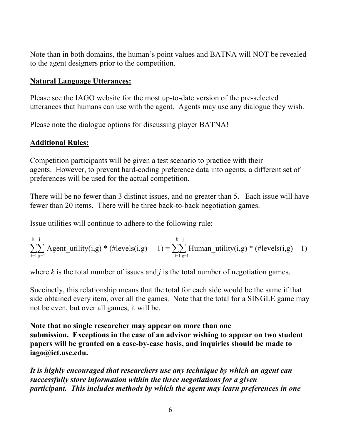Note than in both domains, the human's point values and BATNA will NOT be revealed to the agent designers prior to the competition.

#### **Natural Language Utterances:**

Please see the IAGO website for the most up-to-date version of the pre-selected utterances that humans can use with the agent. Agents may use any dialogue they wish.

Please note the dialogue options for discussing player BATNA!

#### **Additional Rules:**

Competition participants will be given a test scenario to practice with their agents. However, to prevent hard-coding preference data into agents, a different set of preferences will be used for the actual competition.

There will be no fewer than 3 distinct issues, and no greater than 5. Each issue will have fewer than 20 items. There will be three back-to-back negotiation games.

Issue utilities will continue to adhere to the following rule:

$$
\sum_{i=1}^{k} \sum_{g=1}^{j} \text{Agent\_utility}(i,g) * (\text{\#levels}(i,g) - 1) = \sum_{i=1}^{k} \sum_{g=1}^{j} \text{Human\_utility}(i,g) * (\text{\#levels}(i,g) - 1)
$$

where *k* is the total number of issues and *j* is the total number of negotiation games.

Succinctly, this relationship means that the total for each side would be the same if that side obtained every item, over all the games. Note that the total for a SINGLE game may not be even, but over all games, it will be.

**Note that no single researcher may appear on more than one submission. Exceptions in the case of an advisor wishing to appear on two student papers will be granted on a case-by-case basis, and inquiries should be made to iago@ict.usc.edu.**

*It is highly encouraged that researchers use any technique by which an agent can successfully store information within the three negotiations for a given participant. This includes methods by which the agent may learn preferences in one*